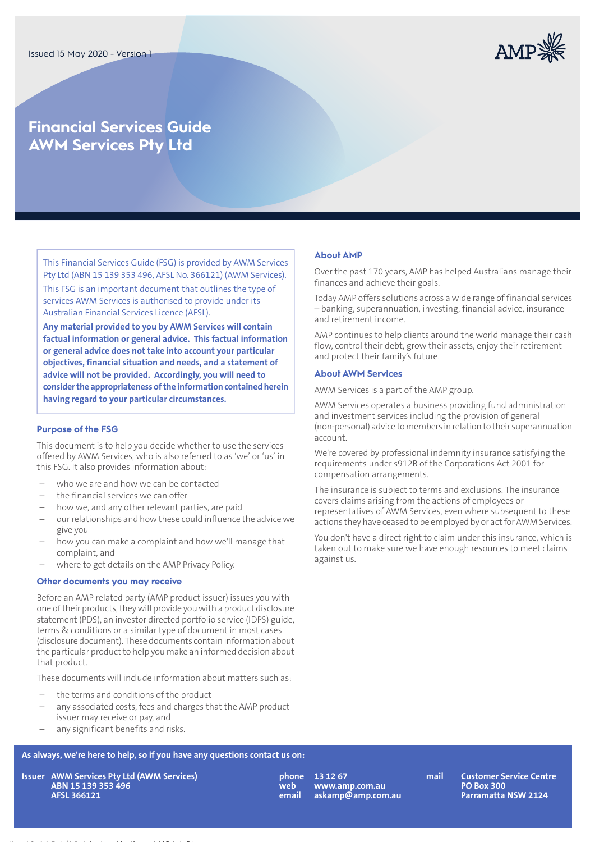

# **Financial Services Guide AWM Services Pty Ltd**

This Financial Services Guide (FSG) is provided by AWM Services Pty Ltd (ABN 15 139 353 496, AFSL No. 366121) (AWM Services). This FSG is an important document that outlines the type of services AWM Services is authorised to provide under its Australian Financial Services Licence (AFSL).

**Any material provided to you by AWM Services will contain factual information or general advice. This factual information or general advice does not take into account your particular objectives, financial situation and needs, and a statement of advice will not be provided. Accordingly, you will need to considerthe appropriateness ofthe informationcontainedherein having regard to your particular circumstances.**

## **Purpose of the FSG**

This document is to help you decide whether to use the services offered by AWM Services, who is also referred to as 'we' or 'us' in this FSG. It also provides information about:

- who we are and how we can be contacted
- the financial services we can offer
- how we, and any other relevant parties, are paid
- ourrelationships and how these could influence the advice we give you
- how you can make a complaint and how we'll manage that complaint, and
- where to get details on the AMP Privacy Policy.

#### **Other documents you may receive**

Before an AMP related party (AMP product issuer) issues you with one oftheir products,they will provide you with a product disclosure statement (PDS), an investor directed portfolio service (IDPS) guide, terms & conditions or a similar type of document in most cases (disclosure document). These documents contain information about the particular product to help you make an informed decision about that product.

These documents will include information about matters such as:

- the terms and conditions of the product
- any associated costs, fees and charges that the AMP product issuer may receive or pay, and
- any significant benefits and risks.

# **As always, we're here to help, so if you have any questions contact us on:**

**AWM Services Pty Ltd (AWM Services) IssuerABN 15 139 353 496 AFSL 366121**

**phone web email**

**13 12 67 mail www.amp.com.au askamp@amp.com.au**

**Customer Service Centre PO Box 300 Parramatta NSW 2124**

#### **About AMP**

Over the past 170 years, AMP has helped Australians manage their finances and achieve their goals.

Today AMP offers solutions across a wide range of financial services – banking, superannuation, investing, financial advice, insurance and retirement income.

AMP continues to help clients around the world manage their cash flow, control their debt, grow their assets, enjoy their retirement and protect their family's future.

#### **About AWM Services**

AWM Services is a part of the AMP group.

AWM Services operates a business providing fund administration and investment services including the provision of general (non-personal) advice tomembers inrelationto their superannuation account.

We're covered by professional indemnity insurance satisfying the requirements under s912B of the Corporations Act 2001 for compensation arrangements.

The insurance is subject to terms and exclusions. The insurance covers claims arising from the actions of employees or representatives of AWM Services, even where subsequent to these actions they have ceased to be employed by or act for AWM Services.

You don't have a direct right to claim under this insurance, which is taken out to make sure we have enough resources to meet claims against us.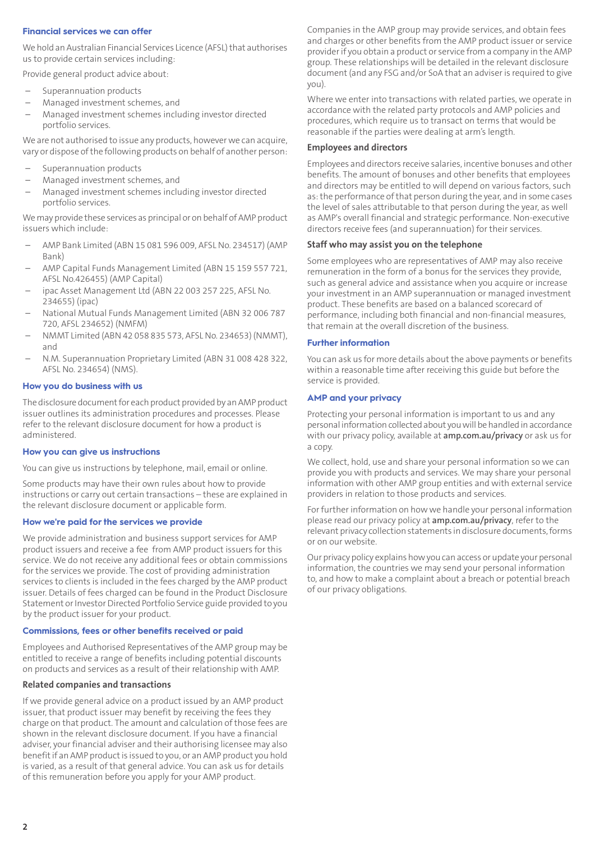# **Financial services we can offer**

We hold an Australian Financial Services Licence (AFSL) that authorises us to provide certain services including:

Provide general product advice about:

- Superannuation products
- Managed investment schemes, and
- Managed investment schemes including investor directed portfolio services.

We are not authorised to issue any products, however we can acquire, vary or dispose of the following products on behalf of another person:

- Superannuation products
- Managed investment schemes, and
- Managed investment schemes including investor directed portfolio services.

We may provide these services as principal or on behalf of AMP product issuers which include:

- AMP Bank Limited (ABN 15 081 596 009, AFSL No. 234517) (AMP Bank)
- AMP Capital Funds Management Limited (ABN 15 159 557 721, AFSL No.426455) (AMP Capital)
- ipac Asset Management Ltd (ABN 22 003 257 225, AFSL No. 234655) (ipac)
- National Mutual Funds Management Limited (ABN 32 006 787 720, AFSL 234652) (NMFM)
- NMMT Limited (ABN 42 058 835 573, AFSL No. 234653) (NMMT), and
- N.M. Superannuation Proprietary Limited (ABN 31 008 428 322, AFSL No. 234654) (NMS).

#### **How you do business with us**

The disclosure document for each product provided by an AMP product issuer outlines its administration procedures and processes. Please refer to the relevant disclosure document for how a product is administered.

## **How you can give us instructions**

You can give us instructions by telephone, mail, email or online.

Some products may have their own rules about how to provide instructions or carry out certain transactions – these are explained in the relevant disclosure document or applicable form.

#### **How we're paid for the services we provide**

We provide administration and business support services for AMP product issuers and receive a fee from AMP product issuers for this service. We do not receive any additional fees or obtain commissions for the services we provide. The cost of providing administration services to clients is included in the fees charged by the AMP product issuer. Details of fees charged can be found in the Product Disclosure Statement or Investor Directed Portfolio Service guide provided to you by the product issuer for your product.

## **Commissions, fees or other benefits received or paid**

Employees and Authorised Representatives of the AMP group may be entitled to receive a range of benefits including potential discounts on products and services as a result of their relationship with AMP.

# **Related companies and transactions**

If we provide general advice on a product issued by an AMP product issuer, that product issuer may benefit by receiving the fees they charge on that product. The amount and calculation of those fees are shown in the relevant disclosure document. If you have a financial adviser, your financial adviser and their authorising licensee may also benefit if an AMP product is issued to you, or an AMP product you hold is varied, as a result of that general advice. You can ask us for details of this remuneration before you apply for your AMP product.

Companies in the AMP group may provide services, and obtain fees and charges or other benefits from the AMP product issuer or service provider if you obtain a product or service from a company in the AMP group. These relationships will be detailed in the relevant disclosure document (and any FSG and/or SoA that an adviser is required to give you).

Where we enter into transactions with related parties, we operate in accordance with the related party protocols and AMP policies and procedures, which require us to transact on terms that would be reasonable if the parties were dealing at arm's length.

#### **Employees and directors**

Employees and directors receive salaries, incentive bonuses and other benefits. The amount of bonuses and other benefits that employees and directors may be entitled to will depend on various factors, such as:the performance ofthat person during the year, and in some cases the level of sales attributable to that person during the year, as well as AMP's overall financial and strategic performance. Non-executive directors receive fees (and superannuation) for their services.

#### **Staff who may assist you on the telephone**

Some employees who are representatives of AMP may also receive remuneration in the form of a bonus for the services they provide, such as general advice and assistance when you acquire or increase your investment in an AMP superannuation or managed investment product. These benefits are based on a balanced scorecard of performance, including both financial and non-financial measures, that remain at the overall discretion of the business.

#### **Further information**

You can ask us for more details about the above payments or benefits within a reasonable time after receiving this guide but before the service is provided.

## **AMP and your privacy**

Protecting your personal information is important to us and any personal information collected about you will be handled in accordance with our privacy policy, available at **[amp.com.au/privacy](https://www.amp.com.au/privacy)** or ask us for a copy.

We collect, hold, use and share your personal information so we can provide you with products and services. We may share your personal information with other AMP group entities and with external service providers in relation to those products and services.

For further information on how we handle your personal information please read our privacy policy at **[amp.com.au/privacy](https://www.amp.com.au/privacy)**, refer to the relevant privacy collection statements in disclosure documents,forms or on our website.

Our privacy policy explains howyou can access or update your personal information, the countries we may send your personal information to, and how to make a complaint about a breach or potential breach of our privacy obligations.